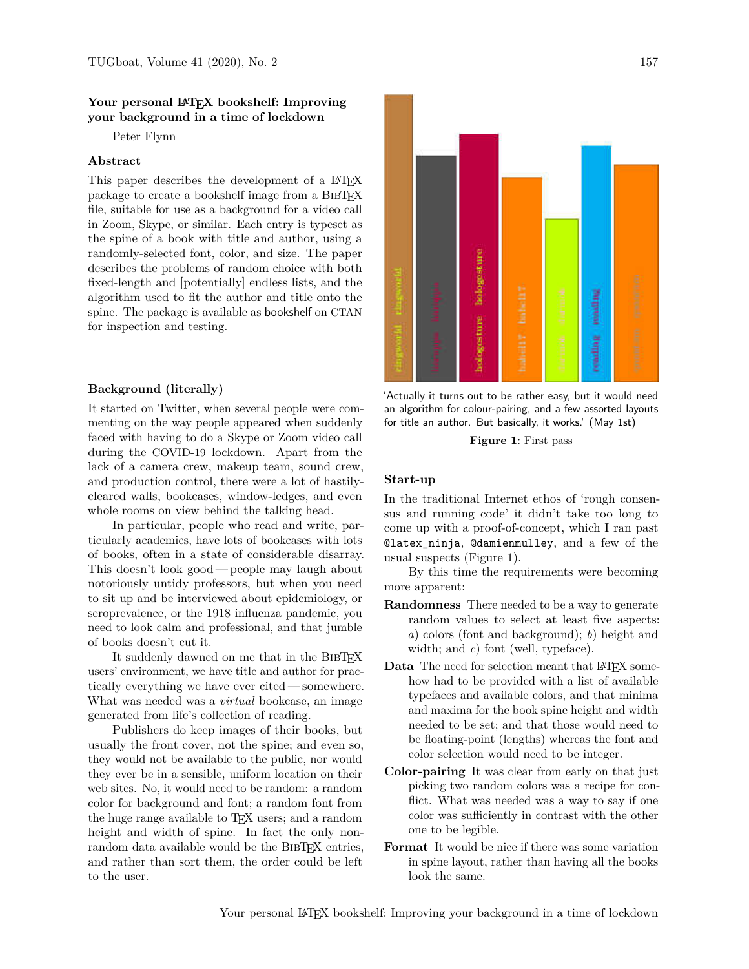## Your personal L<sup>A</sup>T<sub>E</sub>X bookshelf: Improving **your background in a time of lockdown**

Peter Flynn

## **Abstract**

This paper describes the development of a LAT<sub>EX</sub> package to create a bookshelf image from a BIBTFX file, suitable for use as a background for a video call in Zoom, Skype, or similar. Each entry is typeset as the spine of a book with title and author, using a randomly-selected font, color, and size. The paper describes the problems of random choice with both fixed-length and [potentially] endless lists, and the algorithm used to fit the author and title onto the spine. The package is available as bookshelf on CTAN for inspection and testing.

## **Background (literally)**

It started on Twitter, when several people were commenting on the way people appeared when suddenly faced with having to do a Skype or Zoom video call during the COVID-19 lockdown. Apart from the lack of a camera crew, makeup team, sound crew, and production control, there were a lot of hastilycleared walls, bookcases, window-ledges, and even whole rooms on view behind the talking head.

In particular, people who read and write, particularly academics, have lots of bookcases with lots of books, often in a state of considerable disarray. This doesn't look good— people may laugh about notoriously untidy professors, but when you need to sit up and be interviewed about epidemiology, or seroprevalence, or the 1918 influenza pandemic, you need to look calm and professional, and that jumble of books doesn't cut it.

It suddenly dawned on me that in the BIBT<sub>EX</sub> users' environment, we have title and author for practically everything we have ever cited— somewhere. What was needed was a *virtual* bookcase, an image generated from life's collection of reading.

Publishers do keep images of their books, but usually the front cover, not the spine; and even so, they would not be available to the public, nor would they ever be in a sensible, uniform location on their web sites. No, it would need to be random: a random color for background and font; a random font from the huge range available to TEX users; and a random height and width of spine. In fact the only nonrandom data available would be the BIBTEX entries, and rather than sort them, the order could be left to the user.



'Actually it turns out to be rather easy, but it would need an algorithm for colour-pairing, and a few assorted layouts for title an author. But basically, it works.' (May 1st)

**Figure 1**: First pass

#### **Start-up**

In the traditional Internet ethos of 'rough consensus and running code' it didn't take too long to come up with a proof-of-concept, which I ran past @latex\_ninja, @damienmulley, and a few of the usual suspects (Figure 1).

By this time the requirements were becoming more apparent:

- **Randomness** There needed to be a way to generate random values to select at least five aspects: *a*) colors (font and background); *b*) height and width; and c) font (well, typeface).
- Data The need for selection meant that LAT<sub>EX</sub> somehow had to be provided with a list of available typefaces and available colors, and that minima and maxima for the book spine height and width needed to be set; and that those would need to be floating-point (lengths) whereas the font and color selection would need to be integer.
- **Color-pairing** It was clear from early on that just picking two random colors was a recipe for conflict. What was needed was a way to say if one color was sufficiently in contrast with the other one to be legible.
- **Format** It would be nice if there was some variation in spine layout, rather than having all the books look the same.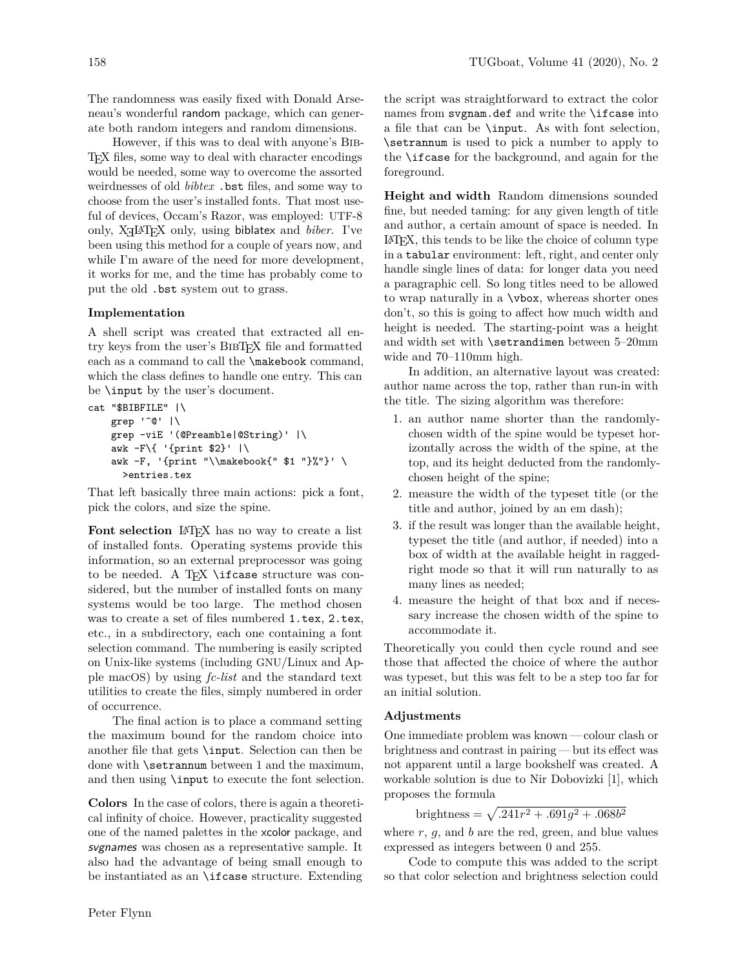The randomness was easily fixed with Donald Arseneau's wonderful random package, which can generate both random integers and random dimensions.

However, if this was to deal with anyone's Bib-TEX files, some way to deal with character encodings would be needed, some way to overcome the assorted weirdnesses of old *bibtex* .bst files, and some way to choose from the user's installed fonts. That most useful of devices, Occam's Razor, was employed: UTF-8 only, X<sub>H</sub>L<sup>AT</sup>EX only, using biblatex and *biber*. I've been using this method for a couple of years now, and while I'm aware of the need for more development, it works for me, and the time has probably come to put the old .bst system out to grass.

## **Implementation**

A shell script was created that extracted all entry keys from the user's BibTEX file and formatted each as a command to call the \makebook command, which the class defines to handle one entry. This can be \input by the user's document.

```
cat "$BIBFILE" |\
    grep '^@' |\
    grep -viE '(@Preamble|@String)' |\
    awk -F\{ '{print $2}' |\
    awk -F, '{print "\\makebook{" $1 "}%"}' \
      >entries.tex
```
That left basically three main actions: pick a font, pick the colors, and size the spine.

Font selection L<sup>AT</sup>EX has no way to create a list of installed fonts. Operating systems provide this information, so an external preprocessor was going to be needed. A T<sub>F</sub>X \ifcase structure was considered, but the number of installed fonts on many systems would be too large. The method chosen was to create a set of files numbered 1.tex, 2.tex, etc., in a subdirectory, each one containing a font selection command. The numbering is easily scripted on Unix-like systems (including GNU/Linux and Apple macOS) by using *fc-list* and the standard text utilities to create the files, simply numbered in order of occurrence.

The final action is to place a command setting the maximum bound for the random choice into another file that gets \input. Selection can then be done with **\setrannum** between 1 and the maximum, and then using \input to execute the font selection.

**Colors** In the case of colors, there is again a theoretical infinity of choice. However, practicality suggested one of the named palettes in the xcolor package, and svgnames was chosen as a representative sample. It also had the advantage of being small enough to be instantiated as an \ifcase structure. Extending the script was straightforward to extract the color names from svgnam.def and write the **\ifcase** into a file that can be \input. As with font selection, \setrannum is used to pick a number to apply to the \ifcase for the background, and again for the foreground.

**Height and width** Random dimensions sounded fine, but needed taming: for any given length of title and author, a certain amount of space is needed. In LATEX, this tends to be like the choice of column type in a tabular environment: left, right, and center only handle single lines of data: for longer data you need a paragraphic cell. So long titles need to be allowed to wrap naturally in a \vbox, whereas shorter ones don't, so this is going to affect how much width and height is needed. The starting-point was a height and width set with \setrandimen between 5–20mm wide and 70–110mm high.

In addition, an alternative layout was created: author name across the top, rather than run-in with the title. The sizing algorithm was therefore:

- 1. an author name shorter than the randomlychosen width of the spine would be typeset horizontally across the width of the spine, at the top, and its height deducted from the randomlychosen height of the spine;
- 2. measure the width of the typeset title (or the title and author, joined by an em dash);
- 3. if the result was longer than the available height, typeset the title (and author, if needed) into a box of width at the available height in raggedright mode so that it will run naturally to as many lines as needed;
- 4. measure the height of that box and if necessary increase the chosen width of the spine to accommodate it.

Theoretically you could then cycle round and see those that affected the choice of where the author was typeset, but this was felt to be a step too far for an initial solution.

## **Adjustments**

One immediate problem was known — colour clash or brightness and contrast in pairing — but its effect was not apparent until a large bookshelf was created. A workable solution is due to Nir Dobovizki [1], which proposes the formula

brightness = 
$$
\sqrt{.241r^2 + .691g^2 + .068b^2}
$$

where  $r, g$ , and  $b$  are the red, green, and blue values expressed as integers between 0 and 255.

Code to compute this was added to the script so that color selection and brightness selection could